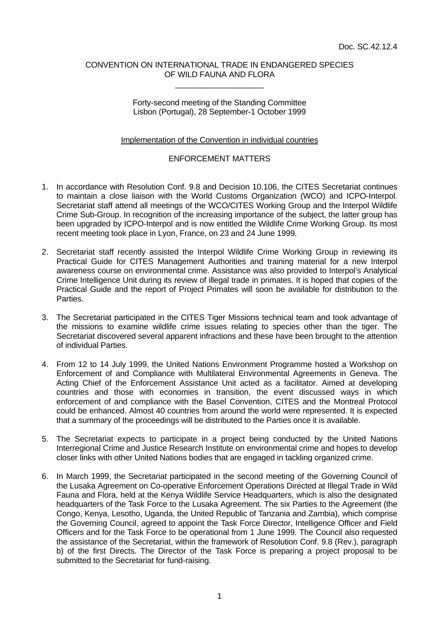## CONVENTION ON INTERNATIONAL TRADE IN ENDANGERED SPECIES OF WILD FAUNA AND FLORA \_\_\_\_\_\_\_\_\_\_\_\_\_\_\_\_\_\_\_\_

Forty-second meeting of the Standing Committee Lisbon (Portugal), 28 September-1 October 1999

## Implementation of the Convention in individual countries

## ENFORCEMENT MATTERS

- 1. In accordance with Resolution Conf. 9.8 and Decision 10.106, the CITES Secretariat continues to maintain a close liaison with the World Customs Organization (WCO) and ICPO-Interpol. Secretariat staff attend all meetings of the WCO/CITES Working Group and the Interpol Wildlife Crime Sub-Group. In recognition of the increasing importance of the subject, the latter group has been upgraded by ICPO-Interpol and is now entitled the Wildlife Crime Working Group. Its most recent meeting took place in Lyon, France, on 23 and 24 June 1999.
- 2. Secretariat staff recently assisted the Interpol Wildlife Crime Working Group in reviewing its Practical Guide for CITES Management Authorities and training material for a new Interpol awareness course on environmental crime. Assistance was also provided to Interpol's Analytical Crime Intelligence Unit during its review of illegal trade in primates. It is hoped that copies of the Practical Guide and the report of Project Primates will soon be available for distribution to the Parties.
- 3. The Secretariat participated in the CITES Tiger Missions technical team and took advantage of the missions to examine wildlife crime issues relating to species other than the tiger. The Secretariat discovered several apparent infractions and these have been brought to the attention of individual Parties.
- 4. From 12 to 14 July 1999, the United Nations Environment Programme hosted a Workshop on Enforcement of and Compliance with Multilateral Environmental Agreements in Geneva. The Acting Chief of the Enforcement Assistance Unit acted as a facilitator. Aimed at developing countries and those with economies in transition, the event discussed ways in which enforcement of and compliance with the Basel Convention, CITES and the Montreal Protocol could be enhanced. Almost 40 countries from around the world were represented. It is expected that a summary of the proceedings will be distributed to the Parties once it is available.
- 5. The Secretariat expects to participate in a project being conducted by the United Nations Interregional Crime and Justice Research Institute on environmental crime and hopes to develop closer links with other United Nations bodies that are engaged in tackling organized crime.
- 6. In March 1999, the Secretariat participated in the second meeting of the Governing Council of the Lusaka Agreement on Co-operative Enforcement Operations Directed at Illegal Trade in Wild Fauna and Flora, held at the Kenya Wildlife Service Headquarters, which is also the designated headquarters of the Task Force to the Lusaka Agreement. The six Parties to the Agreement (the Congo, Kenya, Lesotho, Uganda, the United Republic of Tanzania and Zambia), which comprise the Governing Council, agreed to appoint the Task Force Director, Intelligence Officer and Field Officers and for the Task Force to be operational from 1 June 1999. The Council also requested the assistance of the Secretariat, within the framework of Resolution Conf. 9.8 (Rev.), paragraph b) of the first Directs. The Director of the Task Force is preparing a project proposal to be submitted to the Secretariat for fund-raising.